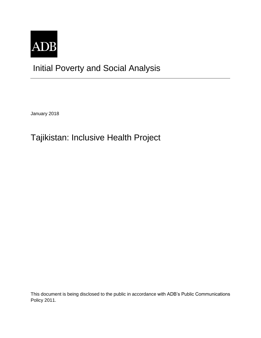

# Initial Poverty and Social Analysis

January 2018

## Tajikistan: Inclusive Health Project

This document is being disclosed to the public in accordance with ADB's Public Communications Policy 2011.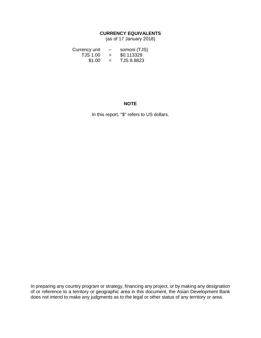### **CURRENCY EQUIVALENTS**

(as of 17 January 2018)

| Currency unit | $\overline{\phantom{0}}$ | somoni (TJS)      |
|---------------|--------------------------|-------------------|
| TJS 1.00      | $=$                      | \$0.113329        |
| \$1.00        | $=$                      | <b>TJS 8.8823</b> |

#### **NOTE**

In this report, "\$" refers to US dollars.

In preparing any country program or strategy, financing any project, or by making any designation of or reference to a territory or geographic area in this document, the Asian Development Bank does not intend to make any judgments as to the legal or other status of any territory or area.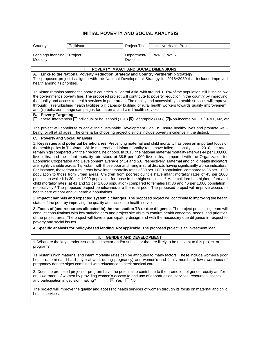### **INITIAL POVERTY AND SOCIAL ANALYSIS**

| Country:                                                                                                                                                                                                                                                                                                                                                                                                                                                                                                                                                                            | Tajikistan                                                                 | Project Title:            | Inclusive Health Project                                                                                                                                                                                                                                                                                                                                                                                                                                                                                                                                                                                                                                                                                                                                                                                                                                                                                                                                                                                                                                                                                                                                                                                                                                                                                                                                                             |  |
|-------------------------------------------------------------------------------------------------------------------------------------------------------------------------------------------------------------------------------------------------------------------------------------------------------------------------------------------------------------------------------------------------------------------------------------------------------------------------------------------------------------------------------------------------------------------------------------|----------------------------------------------------------------------------|---------------------------|--------------------------------------------------------------------------------------------------------------------------------------------------------------------------------------------------------------------------------------------------------------------------------------------------------------------------------------------------------------------------------------------------------------------------------------------------------------------------------------------------------------------------------------------------------------------------------------------------------------------------------------------------------------------------------------------------------------------------------------------------------------------------------------------------------------------------------------------------------------------------------------------------------------------------------------------------------------------------------------------------------------------------------------------------------------------------------------------------------------------------------------------------------------------------------------------------------------------------------------------------------------------------------------------------------------------------------------------------------------------------------------|--|
| Lending/Financing<br>Modality:                                                                                                                                                                                                                                                                                                                                                                                                                                                                                                                                                      | Project                                                                    | Department/<br>Division:  | <b>CWRD/CWSS</b>                                                                                                                                                                                                                                                                                                                                                                                                                                                                                                                                                                                                                                                                                                                                                                                                                                                                                                                                                                                                                                                                                                                                                                                                                                                                                                                                                                     |  |
|                                                                                                                                                                                                                                                                                                                                                                                                                                                                                                                                                                                     |                                                                            |                           |                                                                                                                                                                                                                                                                                                                                                                                                                                                                                                                                                                                                                                                                                                                                                                                                                                                                                                                                                                                                                                                                                                                                                                                                                                                                                                                                                                                      |  |
|                                                                                                                                                                                                                                                                                                                                                                                                                                                                                                                                                                                     | POVERTY IMPACT AND SOCIAL DIMENSIONS<br>ı.                                 |                           |                                                                                                                                                                                                                                                                                                                                                                                                                                                                                                                                                                                                                                                                                                                                                                                                                                                                                                                                                                                                                                                                                                                                                                                                                                                                                                                                                                                      |  |
| A. Links to the National Poverty Reduction Strategy and Country Partnership Strategy<br>The proposed project is aligned with the National Development Strategy for 2016-2030 that includes improved<br>health among its priorities.                                                                                                                                                                                                                                                                                                                                                 |                                                                            |                           |                                                                                                                                                                                                                                                                                                                                                                                                                                                                                                                                                                                                                                                                                                                                                                                                                                                                                                                                                                                                                                                                                                                                                                                                                                                                                                                                                                                      |  |
| Tajikistan remains among the poorest countries in Central Asia, with around 31.6% of the population still living below<br>the government's poverty line. The proposed project will contribute to poverty reduction in the country by improving<br>the quality and access to health services in poor areas. The quality and accessibility to health services will improve<br>through: (i) refurbishing health facilities ;(ii) capacity building of rural health workers towards quality improvement;<br>and (iii) behavior change campaigns for maternal and child health services. |                                                                            |                           |                                                                                                                                                                                                                                                                                                                                                                                                                                                                                                                                                                                                                                                                                                                                                                                                                                                                                                                                                                                                                                                                                                                                                                                                                                                                                                                                                                                      |  |
| <b>B.</b> Poverty Targeting<br>□General intervention □Individual or household (TI-H) ⊠Geographic (TI-G) ⊠Non-income MDGs (TI-M1, M2, etc                                                                                                                                                                                                                                                                                                                                                                                                                                            |                                                                            |                           |                                                                                                                                                                                                                                                                                                                                                                                                                                                                                                                                                                                                                                                                                                                                                                                                                                                                                                                                                                                                                                                                                                                                                                                                                                                                                                                                                                                      |  |
| The project will contribute to achieving Sustainable Development Goal 3: Ensure healthy lives and promote well-<br>being for all at all ages. The criteria for choosing project districts include poverty incidence in the district.                                                                                                                                                                                                                                                                                                                                                |                                                                            |                           |                                                                                                                                                                                                                                                                                                                                                                                                                                                                                                                                                                                                                                                                                                                                                                                                                                                                                                                                                                                                                                                                                                                                                                                                                                                                                                                                                                                      |  |
| C. Poverty and Social Analysis                                                                                                                                                                                                                                                                                                                                                                                                                                                                                                                                                      |                                                                            |                           |                                                                                                                                                                                                                                                                                                                                                                                                                                                                                                                                                                                                                                                                                                                                                                                                                                                                                                                                                                                                                                                                                                                                                                                                                                                                                                                                                                                      |  |
|                                                                                                                                                                                                                                                                                                                                                                                                                                                                                                                                                                                     | health care of poor and vulnerable populations.                            |                           | 1. Key issues and potential beneficiaries. Preventing maternal and child mortality has been an important focus of<br>the health policy in Tajikistan. While maternal and infant mortality rates have fallen nationally since 2010, the rates<br>remain high compared with their regional neighbors. In 2015, the national maternal mortality rate was 44 per 100,000<br>live births, and the infant mortality rate stood at 38.5 per 1,000 live births, compared with the Organization for<br>Economic Cooperation and Development average of 14 and 5.6, respectively. Maternal and child health indicators<br>are highly variable across Tajikistan, with those poor and living in rural districts having significantly worse indicators.<br>For instance, those from rural areas have infant mortality rates of 39 per 1,000 population, compared to 35 per 1,000<br>population to those from urban areas. Children from poorest quintile have infant mortality rates of 45 per 1000<br>population while it is 30 per 1,000 population for those in the highest quintile. <sup>a</sup> Male children has higher infant and<br>child mortality rates (at 41 and 51 per 1,000 population) compared to females (at 36 and 46 per 1,000 population),<br>respectively. <sup>a</sup> The proposed project beneficiaries are the rural poor. The proposed project will improve access to |  |
|                                                                                                                                                                                                                                                                                                                                                                                                                                                                                                                                                                                     | status of the poor by improving the quality and access to health services. |                           | 2. Impact channels and expected systemic changes. The proposed project will contribute to improving the health                                                                                                                                                                                                                                                                                                                                                                                                                                                                                                                                                                                                                                                                                                                                                                                                                                                                                                                                                                                                                                                                                                                                                                                                                                                                       |  |
| 3. Focus of (and resources allocated in) the transaction TA or due diligence. The project processing team will<br>conduct consultations with key stakeholders and project site visits to confirm health concerns, needs, and priorities<br>of the project area. The project will have a participatory design and with the necessary due diligence in respect to<br>poverty and social issues.                                                                                                                                                                                       |                                                                            |                           |                                                                                                                                                                                                                                                                                                                                                                                                                                                                                                                                                                                                                                                                                                                                                                                                                                                                                                                                                                                                                                                                                                                                                                                                                                                                                                                                                                                      |  |
|                                                                                                                                                                                                                                                                                                                                                                                                                                                                                                                                                                                     |                                                                            |                           | 4. Specific analysis for policy-based lending. Not applicable. The proposed project is an investment loan.                                                                                                                                                                                                                                                                                                                                                                                                                                                                                                                                                                                                                                                                                                                                                                                                                                                                                                                                                                                                                                                                                                                                                                                                                                                                           |  |
| <b>GENDER AND DEVELOPMENT</b><br>Ш.                                                                                                                                                                                                                                                                                                                                                                                                                                                                                                                                                 |                                                                            |                           |                                                                                                                                                                                                                                                                                                                                                                                                                                                                                                                                                                                                                                                                                                                                                                                                                                                                                                                                                                                                                                                                                                                                                                                                                                                                                                                                                                                      |  |
| program?                                                                                                                                                                                                                                                                                                                                                                                                                                                                                                                                                                            |                                                                            |                           | 1. What are the key gender issues in the sector and/or subsector that are likely to be relevant to this project or                                                                                                                                                                                                                                                                                                                                                                                                                                                                                                                                                                                                                                                                                                                                                                                                                                                                                                                                                                                                                                                                                                                                                                                                                                                                   |  |
|                                                                                                                                                                                                                                                                                                                                                                                                                                                                                                                                                                                     | pregnancy danger signs combined with reluctance to seek medical care.      |                           | Tajikistan's high maternal and infant mortality rates can be attributed to many factors. These include women's poor<br>health (anemia and hard physical work during pregnancy) and women's and family members' low awareness of                                                                                                                                                                                                                                                                                                                                                                                                                                                                                                                                                                                                                                                                                                                                                                                                                                                                                                                                                                                                                                                                                                                                                      |  |
| and participation in decision making?                                                                                                                                                                                                                                                                                                                                                                                                                                                                                                                                               |                                                                            | $\boxtimes$ Yes $\Box$ No | 2. Does the proposed project or program have the potential to contribute to the promotion of gender equity and/or<br>empowerment of women by providing women's access to and use of opportunities, services, resources, assets,                                                                                                                                                                                                                                                                                                                                                                                                                                                                                                                                                                                                                                                                                                                                                                                                                                                                                                                                                                                                                                                                                                                                                      |  |
| health services.                                                                                                                                                                                                                                                                                                                                                                                                                                                                                                                                                                    |                                                                            |                           | The project will improve the quality and access to health services of women through its focus on maternal and child                                                                                                                                                                                                                                                                                                                                                                                                                                                                                                                                                                                                                                                                                                                                                                                                                                                                                                                                                                                                                                                                                                                                                                                                                                                                  |  |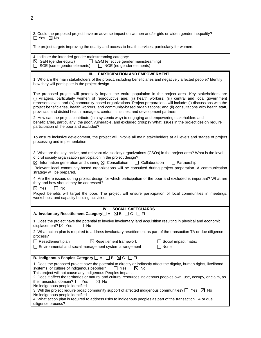| 3. Could the proposed project have an adverse impact on women and/or girls or widen gender inequality?<br>$\Box$ Yes $\boxtimes$ No                                                                                                                                                                                                                                                                                                                                                                                                                                     |  |  |
|-------------------------------------------------------------------------------------------------------------------------------------------------------------------------------------------------------------------------------------------------------------------------------------------------------------------------------------------------------------------------------------------------------------------------------------------------------------------------------------------------------------------------------------------------------------------------|--|--|
| The project targets improving the quality and access to health services, particularly for women.                                                                                                                                                                                                                                                                                                                                                                                                                                                                        |  |  |
| 4. Indicate the intended gender mainstreaming category:<br>$\boxtimes$ GEN (gender equity)<br>$\Box$ EGM (effective gender mainstreaming)<br>$\Box$ SGE (some gender elements) $\Box$ NGE (no gender elements)                                                                                                                                                                                                                                                                                                                                                          |  |  |
| <b>PARTICIPATION AND EMPOWERMENT</b><br>Ш.                                                                                                                                                                                                                                                                                                                                                                                                                                                                                                                              |  |  |
| 1. Who are the main stakeholders of the project, including beneficiaries and negatively affected people? Identify<br>how they will participate in the project design.                                                                                                                                                                                                                                                                                                                                                                                                   |  |  |
| The proposed project will potentially impact the entire population in the project area. Key stakeholders are<br>(i) villagers, particularly women of reproductive age; (ii) health workers; (iii) central and local government<br>representatives; and (iv) community-based organizations. Project preparations will include: (i) discussions with the<br>project beneficiaries, health workers, and community-based organizations; and (ii) consultations with health staff,<br>provincial and district health managers, central ministries, and development partners. |  |  |
| 2. How can the project contribute (in a systemic way) to engaging and empowering stakeholders and<br>beneficiaries, particularly, the poor, vulnerable, and excluded groups? What issues in the project design require<br>participation of the poor and excluded?                                                                                                                                                                                                                                                                                                       |  |  |
| To ensure inclusive development, the project will involve all main stakeholders at all levels and stages of project<br>processing and implementation.                                                                                                                                                                                                                                                                                                                                                                                                                   |  |  |
| 3. What are the key, active, and relevant civil society organizations (CSOs) in the project area? What is the level<br>of civil society organization participation in the project design?<br>$\boxtimes$ Information generation and sharing $\boxtimes$ Consultation $\qquad \Box$ Collaboration $\qquad \Box$ Partnership<br>Relevant local community-based organizations will be consulted during project preparation. A communication<br>strategy will be prepared.                                                                                                  |  |  |
| 4. Are there issues during project design for which participation of the poor and excluded is important? What are<br>they and how should they be addressed?<br>$\boxtimes$ Yes<br>$\Box$ No<br>Project benefits will target the poor. The project will ensure participation of local communities in meetings,                                                                                                                                                                                                                                                           |  |  |
| workshops, and capacity building activities.                                                                                                                                                                                                                                                                                                                                                                                                                                                                                                                            |  |  |
| <b>SOCIAL SAFEGUARDS</b><br>IV.                                                                                                                                                                                                                                                                                                                                                                                                                                                                                                                                         |  |  |
| A. Involuntary Resettlement Category <sup></sup> A <b>X</b> B <b>C</b><br>l IFI                                                                                                                                                                                                                                                                                                                                                                                                                                                                                         |  |  |
| 1. Does the project have the potential to involve involuntary land acquisition resulting in physical and economic<br>displacement? $\boxtimes$ Yes<br>l I No                                                                                                                                                                                                                                                                                                                                                                                                            |  |  |
| 2. What action plan is required to address involuntary resettlement as part of the transaction TA or due diligence<br>process?                                                                                                                                                                                                                                                                                                                                                                                                                                          |  |  |
| $\Box$ Resettlement plan<br>$\boxtimes$ Resettlement framework<br>Social impact matrix<br>□ Environmental and social management system arrangement<br>None                                                                                                                                                                                                                                                                                                                                                                                                              |  |  |
| B. Indigenous Peoples Category $\Box$ A $\Box$ B $\boxtimes$ C $\Box$ FI                                                                                                                                                                                                                                                                                                                                                                                                                                                                                                |  |  |
| 1. Does the proposed project have the potential to directly or indirectly affect the dignity, human rights, livelihood<br>systems, or culture of indigenous peoples?<br>$\Box$ Yes<br>$\boxtimes$ No<br>This project will not cause any Indigenous Peoples impacts.<br>2. Does it affect the territories or natural and cultural resources indigenous peoples own, use, occupy, or claim, as<br>their ancestral domain? $\Box$ Yes<br>$\boxtimes$ No                                                                                                                    |  |  |
| No indigenous people identified.<br>3. Will the project require broad community support of affected indigenous communities? $\square$ Yes $\boxtimes$ No<br>No indigenous people identified.                                                                                                                                                                                                                                                                                                                                                                            |  |  |
| 4. What action plan is required to address risks to indigenous peoples as part of the transaction TA or due<br>diligence process?                                                                                                                                                                                                                                                                                                                                                                                                                                       |  |  |